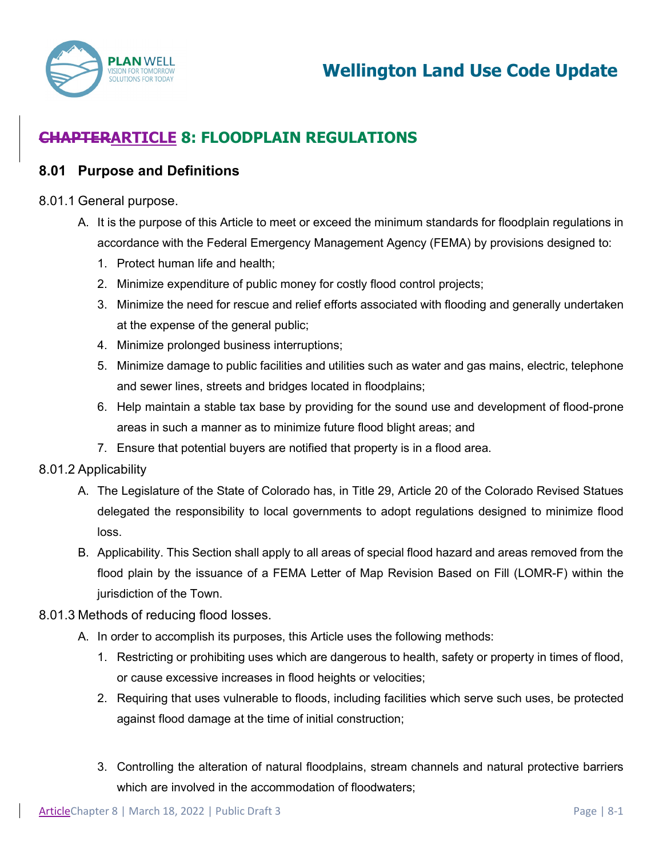

# **CHAPTERARTICLE 8: FLOODPLAIN REGULATIONS**

## **8.01 Purpose and Definitions**

#### 8.01.1 General purpose.

- A. It is the purpose of this Article to meet or exceed the minimum standards for floodplain regulations in accordance with the Federal Emergency Management Agency (FEMA) by provisions designed to:
	- 1. Protect human life and health;
	- 2. Minimize expenditure of public money for costly flood control projects;
	- 3. Minimize the need for rescue and relief efforts associated with flooding and generally undertaken at the expense of the general public;
	- 4. Minimize prolonged business interruptions;
	- 5. Minimize damage to public facilities and utilities such as water and gas mains, electric, telephone and sewer lines, streets and bridges located in floodplains;
	- 6. Help maintain a stable tax base by providing for the sound use and development of flood-prone areas in such a manner as to minimize future flood blight areas; and
	- 7. Ensure that potential buyers are notified that property is in a flood area.

### 8.01.2 Applicability

- A. The Legislature of the State of Colorado has, in Title 29, Article 20 of the Colorado Revised Statues delegated the responsibility to local governments to adopt regulations designed to minimize flood loss.
- B. Applicability. This Section shall apply to all areas of special flood hazard and areas removed from the flood plain by the issuance of a FEMA Letter of Map Revision Based on Fill (LOMR-F) within the jurisdiction of the Town.

#### 8.01.3 Methods of reducing flood losses.

- A. In order to accomplish its purposes, this Article uses the following methods:
	- 1. Restricting or prohibiting uses which are dangerous to health, safety or property in times of flood, or cause excessive increases in flood heights or velocities;
	- 2. Requiring that uses vulnerable to floods, including facilities which serve such uses, be protected against flood damage at the time of initial construction;
	- 3. Controlling the alteration of natural floodplains, stream channels and natural protective barriers which are involved in the accommodation of floodwaters;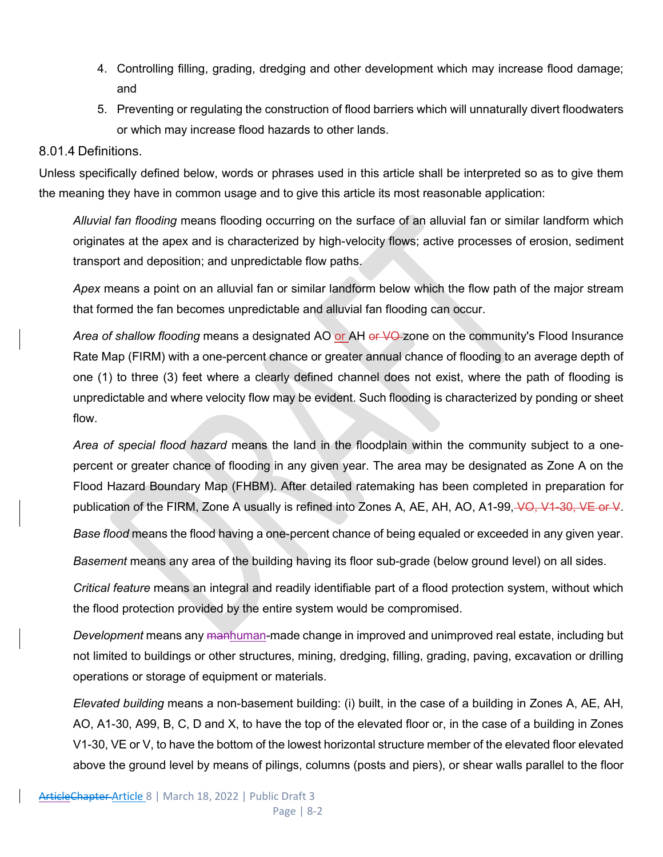- 4. Controlling filling, grading, dredging and other development which may increase flood damage; and
- 5. Preventing or regulating the construction of flood barriers which will unnaturally divert floodwaters or which may increase flood hazards to other lands.

#### 8.01.4 Definitions.

Unless specifically defined below, words or phrases used in this article shall be interpreted so as to give them the meaning they have in common usage and to give this article its most reasonable application:

*Alluvial fan flooding* means flooding occurring on the surface of an alluvial fan or similar landform which originates at the apex and is characterized by high-velocity flows; active processes of erosion, sediment transport and deposition; and unpredictable flow paths.

*Apex* means a point on an alluvial fan or similar landform below which the flow path of the major stream that formed the fan becomes unpredictable and alluvial fan flooding can occur.

*Area of shallow flooding* means a designated AO or AH or VO zone on the community's Flood Insurance Rate Map (FIRM) with a one-percent chance or greater annual chance of flooding to an average depth of one (1) to three (3) feet where a clearly defined channel does not exist, where the path of flooding is unpredictable and where velocity flow may be evident. Such flooding is characterized by ponding or sheet flow.

*Area of special flood hazard* means the land in the floodplain within the community subject to a onepercent or greater chance of flooding in any given year. The area may be designated as Zone A on the Flood Hazard Boundary Map (FHBM). After detailed ratemaking has been completed in preparation for publication of the FIRM, Zone A usually is refined into Zones A, AE, AH, AO, A1-99, VO, V1-30, VE or V.

*Base flood* means the flood having a one-percent chance of being equaled or exceeded in any given year.

*Basement* means any area of the building having its floor sub-grade (below ground level) on all sides.

*Critical feature* means an integral and readily identifiable part of a flood protection system, without which the flood protection provided by the entire system would be compromised.

*Development* means any manhuman-made change in improved and unimproved real estate, including but not limited to buildings or other structures, mining, dredging, filling, grading, paving, excavation or drilling operations or storage of equipment or materials.

*Elevated building* means a non-basement building: (i) built, in the case of a building in Zones A, AE, AH, AO, A1-30, A99, B, C, D and X, to have the top of the elevated floor or, in the case of a building in Zones V1-30, VE or V, to have the bottom of the lowest horizontal structure member of the elevated floor elevated above the ground level by means of pilings, columns (posts and piers), or shear walls parallel to the floor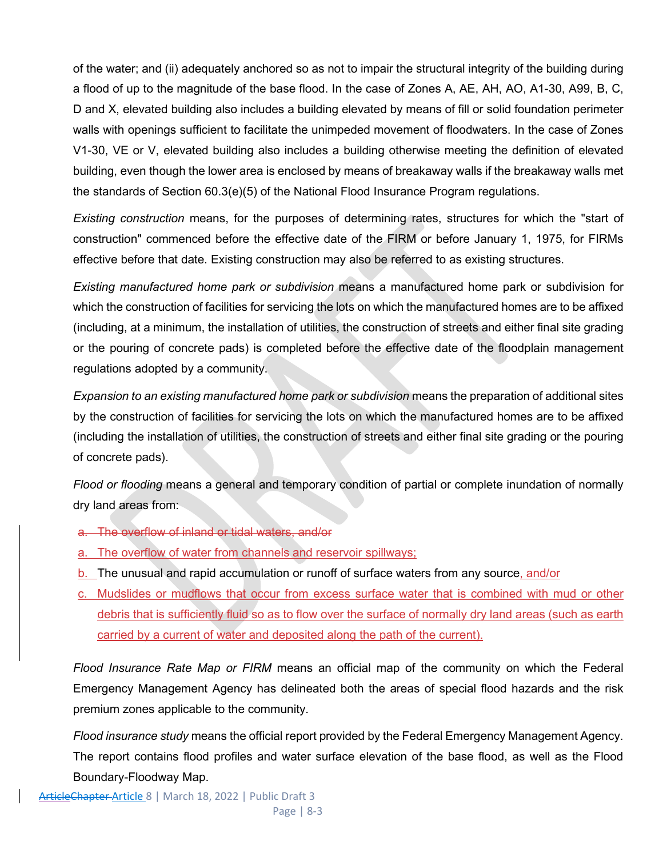of the water; and (ii) adequately anchored so as not to impair the structural integrity of the building during a flood of up to the magnitude of the base flood. In the case of Zones A, AE, AH, AO, A1-30, A99, B, C, D and X, elevated building also includes a building elevated by means of fill or solid foundation perimeter walls with openings sufficient to facilitate the unimpeded movement of floodwaters. In the case of Zones V1-30, VE or V, elevated building also includes a building otherwise meeting the definition of elevated building, even though the lower area is enclosed by means of breakaway walls if the breakaway walls met the standards of Section 60.3(e)(5) of the National Flood Insurance Program regulations.

*Existing construction* means, for the purposes of determining rates, structures for which the "start of construction" commenced before the effective date of the FIRM or before January 1, 1975, for FIRMs effective before that date. Existing construction may also be referred to as existing structures.

*Existing manufactured home park or subdivision* means a manufactured home park or subdivision for which the construction of facilities for servicing the lots on which the manufactured homes are to be affixed (including, at a minimum, the installation of utilities, the construction of streets and either final site grading or the pouring of concrete pads) is completed before the effective date of the floodplain management regulations adopted by a community.

*Expansion to an existing manufactured home park or subdivision* means the preparation of additional sites by the construction of facilities for servicing the lots on which the manufactured homes are to be affixed (including the installation of utilities, the construction of streets and either final site grading or the pouring of concrete pads).

*Flood or flooding* means a general and temporary condition of partial or complete inundation of normally dry land areas from:

- a. The overflow of inland or tidal waters, and/or
- a. The overflow of water from channels and reservoir spillways;
- b. The unusual and rapid accumulation or runoff of surface waters from any source, and/or
- c. Mudslides or mudflows that occur from excess surface water that is combined with mud or other debris that is sufficiently fluid so as to flow over the surface of normally dry land areas (such as earth carried by a current of water and deposited along the path of the current).

*Flood Insurance Rate Map or FIRM* means an official map of the community on which the Federal Emergency Management Agency has delineated both the areas of special flood hazards and the risk premium zones applicable to the community.

*Flood insurance study* means the official report provided by the Federal Emergency Management Agency. The report contains flood profiles and water surface elevation of the base flood, as well as the Flood Boundary-Floodway Map.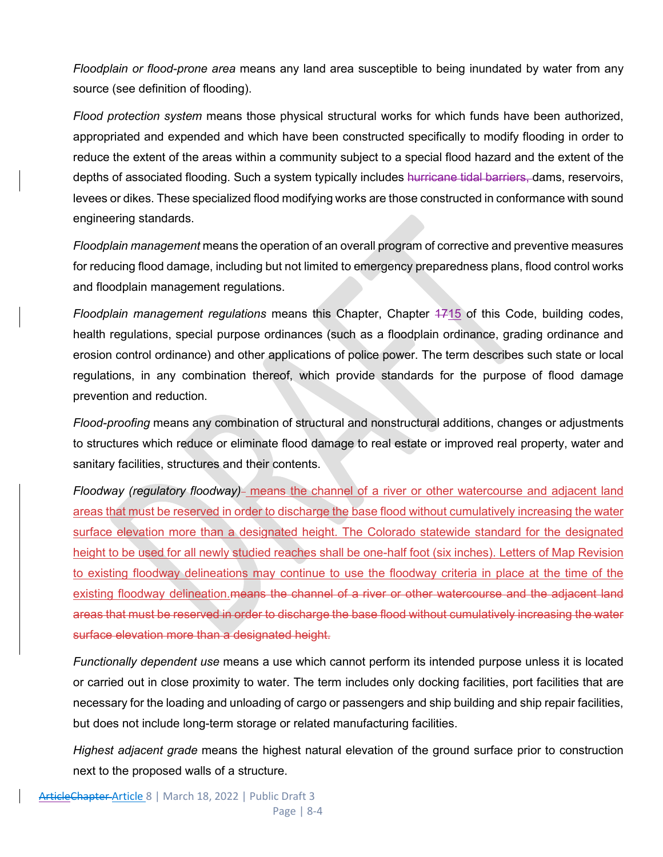*Floodplain or flood-prone area* means any land area susceptible to being inundated by water from any source (see definition of flooding).

*Flood protection system* means those physical structural works for which funds have been authorized, appropriated and expended and which have been constructed specifically to modify flooding in order to reduce the extent of the areas within a community subject to a special flood hazard and the extent of the depths of associated flooding. Such a system typically includes hurricane tidal barriers, dams, reservoirs, levees or dikes. These specialized flood modifying works are those constructed in conformance with sound engineering standards.

*Floodplain management* means the operation of an overall program of corrective and preventive measures for reducing flood damage, including but not limited to emergency preparedness plans, flood control works and floodplain management regulations.

*Floodplain management regulations* means this Chapter, Chapter 1715 of this Code, building codes, health regulations, special purpose ordinances (such as a floodplain ordinance, grading ordinance and erosion control ordinance) and other applications of police power. The term describes such state or local regulations, in any combination thereof, which provide standards for the purpose of flood damage prevention and reduction.

*Flood-proofing* means any combination of structural and nonstructural additions, changes or adjustments to structures which reduce or eliminate flood damage to real estate or improved real property, water and sanitary facilities, structures and their contents.

Floodway (regulatory floodway)- means the channel of a river or other watercourse and adjacent land areas that must be reserved in order to discharge the base flood without cumulatively increasing the water surface elevation more than a designated height. The Colorado statewide standard for the designated height to be used for all newly studied reaches shall be one-half foot (six inches). Letters of Map Revision to existing floodway delineations may continue to use the floodway criteria in place at the time of the existing floodway delineation. means the channel of a river or other watercourse and the adjacent land areas that must be reserved in order to discharge the base flood without cumulatively increasing the water surface elevation more than a designated height.

*Functionally dependent use* means a use which cannot perform its intended purpose unless it is located or carried out in close proximity to water. The term includes only docking facilities, port facilities that are necessary for the loading and unloading of cargo or passengers and ship building and ship repair facilities, but does not include long-term storage or related manufacturing facilities.

*Highest adjacent grade* means the highest natural elevation of the ground surface prior to construction next to the proposed walls of a structure.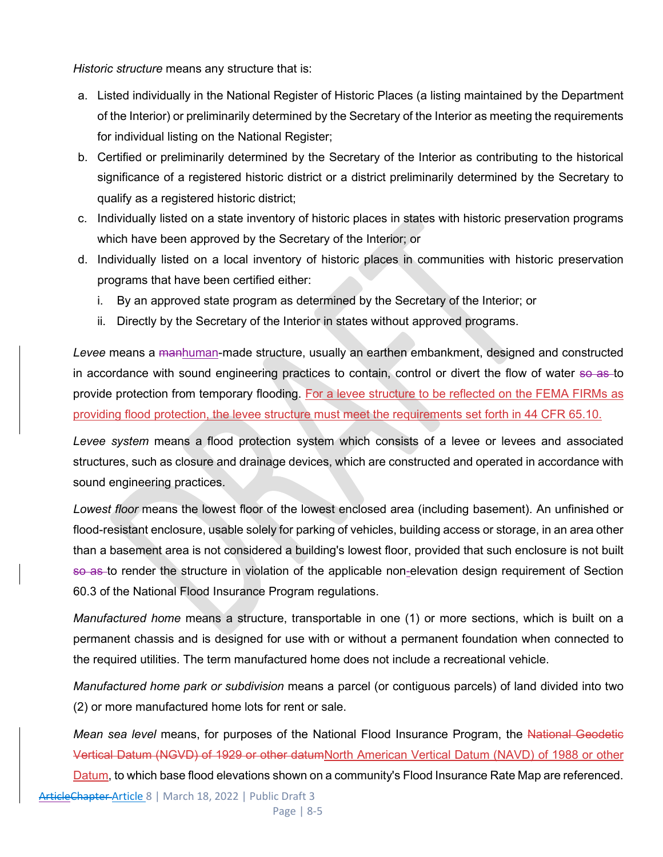*Historic structure* means any structure that is:

- a. Listed individually in the National Register of Historic Places (a listing maintained by the Department of the Interior) or preliminarily determined by the Secretary of the Interior as meeting the requirements for individual listing on the National Register;
- b. Certified or preliminarily determined by the Secretary of the Interior as contributing to the historical significance of a registered historic district or a district preliminarily determined by the Secretary to qualify as a registered historic district;
- c. Individually listed on a state inventory of historic places in states with historic preservation programs which have been approved by the Secretary of the Interior; or
- d. Individually listed on a local inventory of historic places in communities with historic preservation programs that have been certified either:
	- i. By an approved state program as determined by the Secretary of the Interior; or
	- ii. Directly by the Secretary of the Interior in states without approved programs.

*Levee* means a manhuman-made structure, usually an earthen embankment, designed and constructed in accordance with sound engineering practices to contain, control or divert the flow of water so as to provide protection from temporary flooding. For a levee structure to be reflected on the FEMA FIRMs as providing flood protection, the levee structure must meet the requirements set forth in 44 CFR 65.10.

*Levee system* means a flood protection system which consists of a levee or levees and associated structures, such as closure and drainage devices, which are constructed and operated in accordance with sound engineering practices.

*Lowest floor* means the lowest floor of the lowest enclosed area (including basement). An unfinished or flood-resistant enclosure, usable solely for parking of vehicles, building access or storage, in an area other than a basement area is not considered a building's lowest floor, provided that such enclosure is not built so as to render the structure in violation of the applicable non-elevation design requirement of Section 60.3 of the National Flood Insurance Program regulations.

*Manufactured home* means a structure, transportable in one (1) or more sections, which is built on a permanent chassis and is designed for use with or without a permanent foundation when connected to the required utilities. The term manufactured home does not include a recreational vehicle.

*Manufactured home park or subdivision* means a parcel (or contiguous parcels) of land divided into two (2) or more manufactured home lots for rent or sale.

*Mean sea level* means, for purposes of the National Flood Insurance Program, the National Geodetic Vertical Datum (NGVD) of 1929 or other datumNorth American Vertical Datum (NAVD) of 1988 or other Datum, to which base flood elevations shown on a community's Flood Insurance Rate Map are referenced.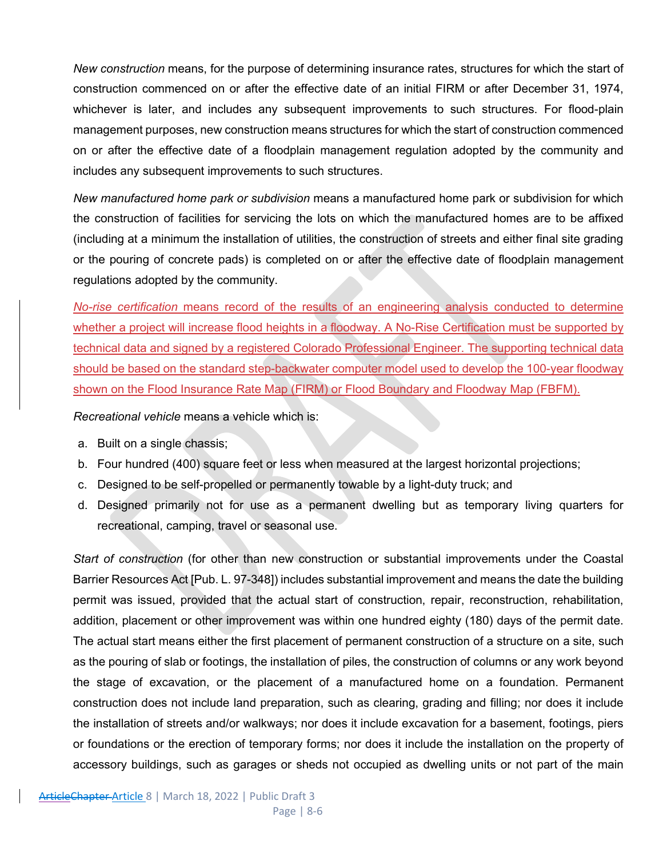*New construction* means, for the purpose of determining insurance rates, structures for which the start of construction commenced on or after the effective date of an initial FIRM or after December 31, 1974, whichever is later, and includes any subsequent improvements to such structures. For flood-plain management purposes, new construction means structures for which the start of construction commenced on or after the effective date of a floodplain management regulation adopted by the community and includes any subsequent improvements to such structures.

*New manufactured home park or subdivision* means a manufactured home park or subdivision for which the construction of facilities for servicing the lots on which the manufactured homes are to be affixed (including at a minimum the installation of utilities, the construction of streets and either final site grading or the pouring of concrete pads) is completed on or after the effective date of floodplain management regulations adopted by the community.

*No-rise certification* means record of the results of an engineering analysis conducted to determine whether a project will increase flood heights in a floodway. A No-Rise Certification must be supported by technical data and signed by a registered Colorado Professional Engineer. The supporting technical data should be based on the standard step-backwater computer model used to develop the 100-year floodway shown on the Flood Insurance Rate Map (FIRM) or Flood Boundary and Floodway Map (FBFM).

*Recreational vehicle* means a vehicle which is:

- a. Built on a single chassis;
- b. Four hundred (400) square feet or less when measured at the largest horizontal projections;
- c. Designed to be self-propelled or permanently towable by a light-duty truck; and
- d. Designed primarily not for use as a permanent dwelling but as temporary living quarters for recreational, camping, travel or seasonal use.

*Start of construction* (for other than new construction or substantial improvements under the Coastal Barrier Resources Act [Pub. L. 97-348]) includes substantial improvement and means the date the building permit was issued, provided that the actual start of construction, repair, reconstruction, rehabilitation, addition, placement or other improvement was within one hundred eighty (180) days of the permit date. The actual start means either the first placement of permanent construction of a structure on a site, such as the pouring of slab or footings, the installation of piles, the construction of columns or any work beyond the stage of excavation, or the placement of a manufactured home on a foundation. Permanent construction does not include land preparation, such as clearing, grading and filling; nor does it include the installation of streets and/or walkways; nor does it include excavation for a basement, footings, piers or foundations or the erection of temporary forms; nor does it include the installation on the property of accessory buildings, such as garages or sheds not occupied as dwelling units or not part of the main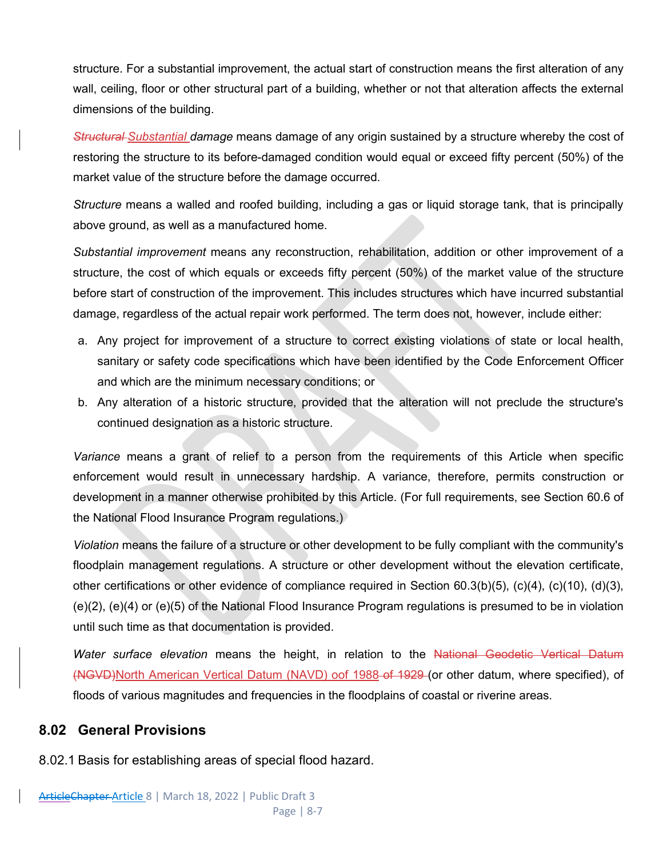structure. For a substantial improvement, the actual start of construction means the first alteration of any wall, ceiling, floor or other structural part of a building, whether or not that alteration affects the external dimensions of the building.

*Structural Substantial damage* means damage of any origin sustained by a structure whereby the cost of restoring the structure to its before-damaged condition would equal or exceed fifty percent (50%) of the market value of the structure before the damage occurred.

*Structure* means a walled and roofed building, including a gas or liquid storage tank, that is principally above ground, as well as a manufactured home.

*Substantial improvement* means any reconstruction, rehabilitation, addition or other improvement of a structure, the cost of which equals or exceeds fifty percent (50%) of the market value of the structure before start of construction of the improvement. This includes structures which have incurred substantial damage, regardless of the actual repair work performed. The term does not, however, include either:

- a. Any project for improvement of a structure to correct existing violations of state or local health, sanitary or safety code specifications which have been identified by the Code Enforcement Officer and which are the minimum necessary conditions; or
- b. Any alteration of a historic structure, provided that the alteration will not preclude the structure's continued designation as a historic structure.

*Variance* means a grant of relief to a person from the requirements of this Article when specific enforcement would result in unnecessary hardship. A variance, therefore, permits construction or development in a manner otherwise prohibited by this Article. (For full requirements, see Section 60.6 of the National Flood Insurance Program regulations.)

*Violation* means the failure of a structure or other development to be fully compliant with the community's floodplain management regulations. A structure or other development without the elevation certificate, other certifications or other evidence of compliance required in Section 60.3(b)(5), (c)(4), (c)(10), (d)(3), (e)(2), (e)(4) or (e)(5) of the National Flood Insurance Program regulations is presumed to be in violation until such time as that documentation is provided.

*Water surface elevation* means the height, in relation to the National Geodetic Vertical Datum (NGVD)North American Vertical Datum (NAVD) oof 1988 of 1929 (or other datum, where specified), of floods of various magnitudes and frequencies in the floodplains of coastal or riverine areas.

## **8.02 General Provisions**

8.02.1 Basis for establishing areas of special flood hazard.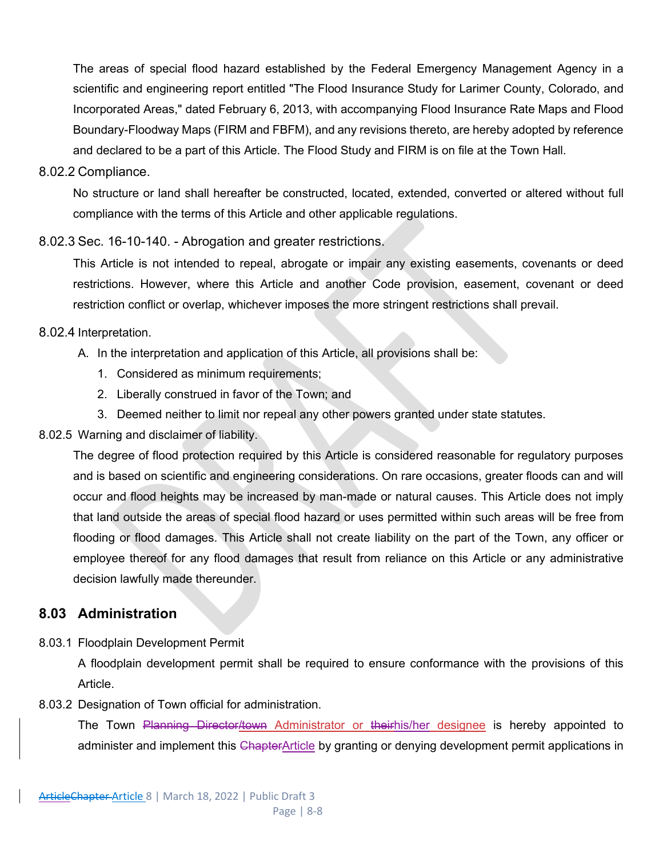The areas of special flood hazard established by the Federal Emergency Management Agency in a scientific and engineering report entitled "The Flood Insurance Study for Larimer County, Colorado, and Incorporated Areas," dated February 6, 2013, with accompanying Flood Insurance Rate Maps and Flood Boundary-Floodway Maps (FIRM and FBFM), and any revisions thereto, are hereby adopted by reference and declared to be a part of this Article. The Flood Study and FIRM is on file at the Town Hall.

#### 8.02.2 Compliance.

No structure or land shall hereafter be constructed, located, extended, converted or altered without full compliance with the terms of this Article and other applicable regulations.

#### 8.02.3 Sec. 16-10-140. - Abrogation and greater restrictions.

This Article is not intended to repeal, abrogate or impair any existing easements, covenants or deed restrictions. However, where this Article and another Code provision, easement, covenant or deed restriction conflict or overlap, whichever imposes the more stringent restrictions shall prevail.

#### 8.02.4 Interpretation.

- A. In the interpretation and application of this Article, all provisions shall be:
	- 1. Considered as minimum requirements;
	- 2. Liberally construed in favor of the Town; and
	- 3. Deemed neither to limit nor repeal any other powers granted under state statutes.

#### 8.02.5 Warning and disclaimer of liability.

The degree of flood protection required by this Article is considered reasonable for regulatory purposes and is based on scientific and engineering considerations. On rare occasions, greater floods can and will occur and flood heights may be increased by man-made or natural causes. This Article does not imply that land outside the areas of special flood hazard or uses permitted within such areas will be free from flooding or flood damages. This Article shall not create liability on the part of the Town, any officer or employee thereof for any flood damages that result from reliance on this Article or any administrative decision lawfully made thereunder.

## **8.03 Administration**

8.03.1 Floodplain Development Permit

A floodplain development permit shall be required to ensure conformance with the provisions of this Article.

8.03.2 Designation of Town official for administration.

The Town Planning Director/town Administrator or theirhis/her designee is hereby appointed to administer and implement this ChapterArticle by granting or denying development permit applications in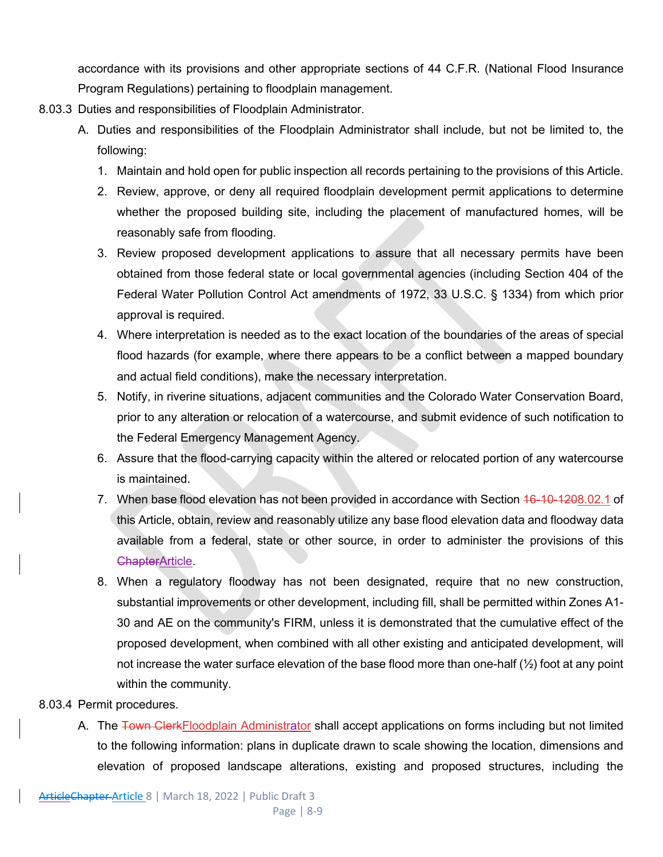accordance with its provisions and other appropriate sections of 44 C.F.R. (National Flood Insurance Program Regulations) pertaining to floodplain management.

- 8.03.3 Duties and responsibilities of Floodplain Administrator.
	- A. Duties and responsibilities of the Floodplain Administrator shall include, but not be limited to, the following:
		- 1. Maintain and hold open for public inspection all records pertaining to the provisions of this Article.
		- 2. Review, approve, or deny all required floodplain development permit applications to determine whether the proposed building site, including the placement of manufactured homes, will be reasonably safe from flooding.
		- 3. Review proposed development applications to assure that all necessary permits have been obtained from those federal state or local governmental agencies (including Section 404 of the Federal Water Pollution Control Act amendments of 1972, 33 U.S.C. § 1334) from which prior approval is required.
		- 4. Where interpretation is needed as to the exact location of the boundaries of the areas of special flood hazards (for example, where there appears to be a conflict between a mapped boundary and actual field conditions), make the necessary interpretation.
		- 5. Notify, in riverine situations, adjacent communities and the Colorado Water Conservation Board, prior to any alteration or relocation of a watercourse, and submit evidence of such notification to the Federal Emergency Management Agency.
		- 6. Assure that the flood-carrying capacity within the altered or relocated portion of any watercourse is maintained.
		- 7. When base flood elevation has not been provided in accordance with Section 46-10-1208.02.1 of this Article, obtain, review and reasonably utilize any base flood elevation data and floodway data available from a federal, state or other source, in order to administer the provisions of this ChapterArticle.
		- 8. When a regulatory floodway has not been designated, require that no new construction, substantial improvements or other development, including fill, shall be permitted within Zones A1- 30 and AE on the community's FIRM, unless it is demonstrated that the cumulative effect of the proposed development, when combined with all other existing and anticipated development, will not increase the water surface elevation of the base flood more than one-half  $(\frac{1}{2})$  foot at any point within the community.

## 8.03.4 Permit procedures.

A. The Town ClerkFloodplain Administrator shall accept applications on forms including but not limited to the following information: plans in duplicate drawn to scale showing the location, dimensions and elevation of proposed landscape alterations, existing and proposed structures, including the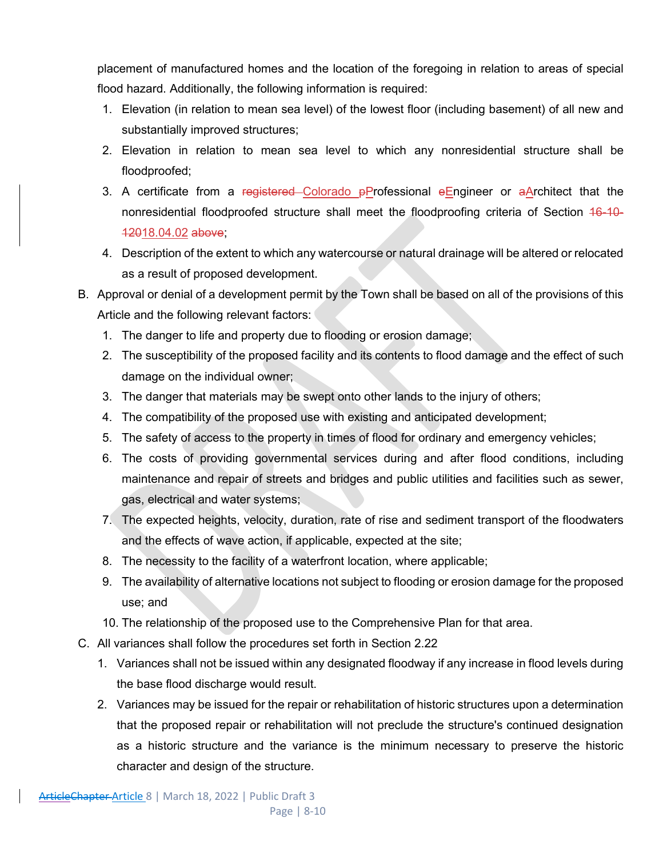placement of manufactured homes and the location of the foregoing in relation to areas of special flood hazard. Additionally, the following information is required:

- 1. Elevation (in relation to mean sea level) of the lowest floor (including basement) of all new and substantially improved structures;
- 2. Elevation in relation to mean sea level to which any nonresidential structure shall be floodproofed;
- 3. A certificate from a registered Colorado  $p$ Professional eEngineer or aArchitect that the nonresidential floodproofed structure shall meet the floodproofing criteria of Section 16-10- 12018.04.02 above;
- 4. Description of the extent to which any watercourse or natural drainage will be altered or relocated as a result of proposed development.
- B. Approval or denial of a development permit by the Town shall be based on all of the provisions of this Article and the following relevant factors:
	- 1. The danger to life and property due to flooding or erosion damage;
	- 2. The susceptibility of the proposed facility and its contents to flood damage and the effect of such damage on the individual owner;
	- 3. The danger that materials may be swept onto other lands to the injury of others;
	- 4. The compatibility of the proposed use with existing and anticipated development;
	- 5. The safety of access to the property in times of flood for ordinary and emergency vehicles;
	- 6. The costs of providing governmental services during and after flood conditions, including maintenance and repair of streets and bridges and public utilities and facilities such as sewer, gas, electrical and water systems;
	- 7. The expected heights, velocity, duration, rate of rise and sediment transport of the floodwaters and the effects of wave action, if applicable, expected at the site;
	- 8. The necessity to the facility of a waterfront location, where applicable;
	- 9. The availability of alternative locations not subject to flooding or erosion damage for the proposed use; and
	- 10. The relationship of the proposed use to the Comprehensive Plan for that area.
- C. All variances shall follow the procedures set forth in Section 2.22
	- 1. Variances shall not be issued within any designated floodway if any increase in flood levels during the base flood discharge would result.
	- 2. Variances may be issued for the repair or rehabilitation of historic structures upon a determination that the proposed repair or rehabilitation will not preclude the structure's continued designation as a historic structure and the variance is the minimum necessary to preserve the historic character and design of the structure.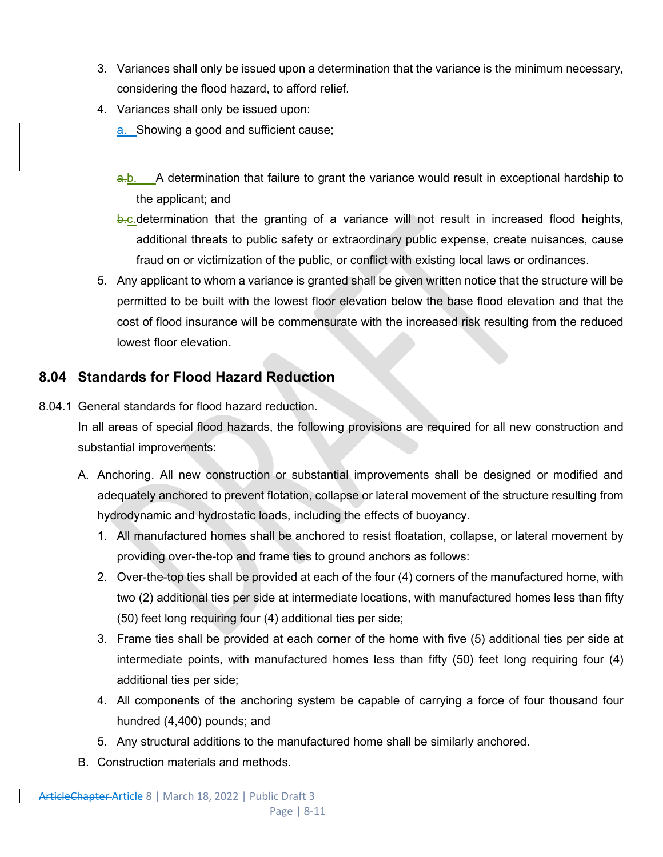- 3. Variances shall only be issued upon a determination that the variance is the minimum necessary, considering the flood hazard, to afford relief.
- 4. Variances shall only be issued upon:
	- a. Showing a good and sufficient cause;
	- a.b. A determination that failure to grant the variance would result in exceptional hardship to the applicant; and
	- **b.c.**determination that the granting of a variance will not result in increased flood heights, additional threats to public safety or extraordinary public expense, create nuisances, cause fraud on or victimization of the public, or conflict with existing local laws or ordinances.
- 5. Any applicant to whom a variance is granted shall be given written notice that the structure will be permitted to be built with the lowest floor elevation below the base flood elevation and that the cost of flood insurance will be commensurate with the increased risk resulting from the reduced lowest floor elevation.

## **8.04 Standards for Flood Hazard Reduction**

8.04.1 General standards for flood hazard reduction.

In all areas of special flood hazards, the following provisions are required for all new construction and substantial improvements:

- A. Anchoring. All new construction or substantial improvements shall be designed or modified and adequately anchored to prevent flotation, collapse or lateral movement of the structure resulting from hydrodynamic and hydrostatic loads, including the effects of buoyancy.
	- 1. All manufactured homes shall be anchored to resist floatation, collapse, or lateral movement by providing over-the-top and frame ties to ground anchors as follows:
	- 2. Over-the-top ties shall be provided at each of the four (4) corners of the manufactured home, with two (2) additional ties per side at intermediate locations, with manufactured homes less than fifty (50) feet long requiring four (4) additional ties per side;
	- 3. Frame ties shall be provided at each corner of the home with five (5) additional ties per side at intermediate points, with manufactured homes less than fifty (50) feet long requiring four (4) additional ties per side;
	- 4. All components of the anchoring system be capable of carrying a force of four thousand four hundred (4,400) pounds; and
	- 5. Any structural additions to the manufactured home shall be similarly anchored.
- B. Construction materials and methods.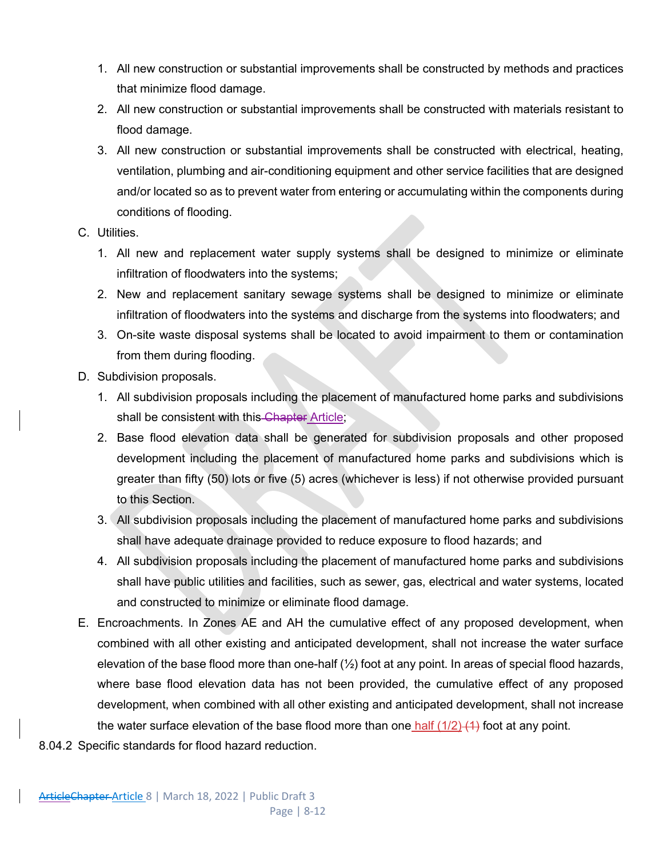- 1. All new construction or substantial improvements shall be constructed by methods and practices that minimize flood damage.
- 2. All new construction or substantial improvements shall be constructed with materials resistant to flood damage.
- 3. All new construction or substantial improvements shall be constructed with electrical, heating, ventilation, plumbing and air-conditioning equipment and other service facilities that are designed and/or located so as to prevent water from entering or accumulating within the components during conditions of flooding.
- C. Utilities.
	- 1. All new and replacement water supply systems shall be designed to minimize or eliminate infiltration of floodwaters into the systems;
	- 2. New and replacement sanitary sewage systems shall be designed to minimize or eliminate infiltration of floodwaters into the systems and discharge from the systems into floodwaters; and
	- 3. On-site waste disposal systems shall be located to avoid impairment to them or contamination from them during flooding.
- D. Subdivision proposals.
	- 1. All subdivision proposals including the placement of manufactured home parks and subdivisions shall be consistent with this Chapter Article;
	- 2. Base flood elevation data shall be generated for subdivision proposals and other proposed development including the placement of manufactured home parks and subdivisions which is greater than fifty (50) lots or five (5) acres (whichever is less) if not otherwise provided pursuant to this Section.
	- 3. All subdivision proposals including the placement of manufactured home parks and subdivisions shall have adequate drainage provided to reduce exposure to flood hazards; and
	- 4. All subdivision proposals including the placement of manufactured home parks and subdivisions shall have public utilities and facilities, such as sewer, gas, electrical and water systems, located and constructed to minimize or eliminate flood damage.
- E. Encroachments. In Zones AE and AH the cumulative effect of any proposed development, when combined with all other existing and anticipated development, shall not increase the water surface elevation of the base flood more than one-half  $(\frac{1}{2})$  foot at any point. In areas of special flood hazards, where base flood elevation data has not been provided, the cumulative effect of any proposed development, when combined with all other existing and anticipated development, shall not increase the water surface elevation of the base flood more than one half  $(1/2)$   $(4)$  foot at any point.
- 8.04.2 Specific standards for flood hazard reduction.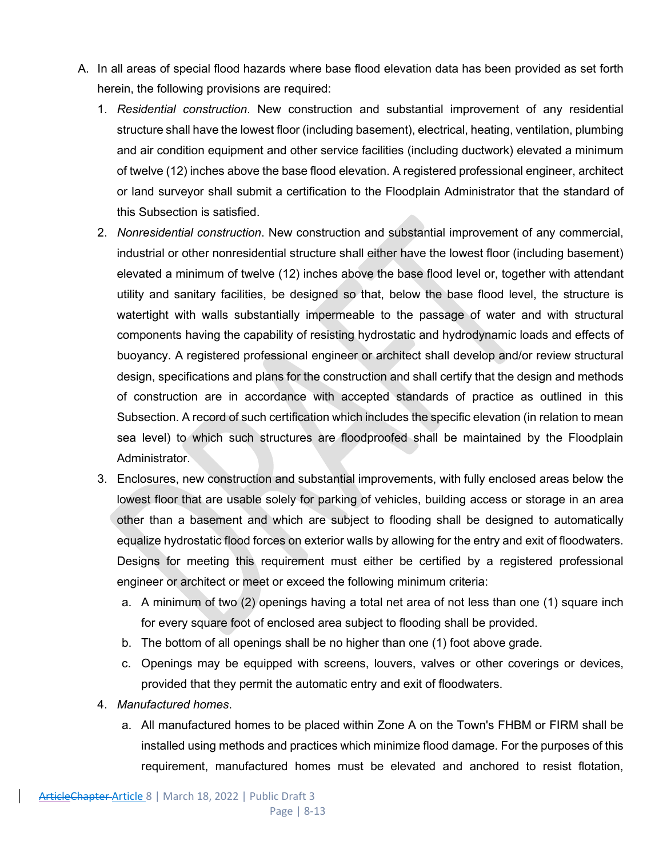- A. In all areas of special flood hazards where base flood elevation data has been provided as set forth herein, the following provisions are required:
	- 1. *Residential construction*. New construction and substantial improvement of any residential structure shall have the lowest floor (including basement), electrical, heating, ventilation, plumbing and air condition equipment and other service facilities (including ductwork) elevated a minimum of twelve (12) inches above the base flood elevation. A registered professional engineer, architect or land surveyor shall submit a certification to the Floodplain Administrator that the standard of this Subsection is satisfied.
	- 2. *Nonresidential construction*. New construction and substantial improvement of any commercial, industrial or other nonresidential structure shall either have the lowest floor (including basement) elevated a minimum of twelve (12) inches above the base flood level or, together with attendant utility and sanitary facilities, be designed so that, below the base flood level, the structure is watertight with walls substantially impermeable to the passage of water and with structural components having the capability of resisting hydrostatic and hydrodynamic loads and effects of buoyancy. A registered professional engineer or architect shall develop and/or review structural design, specifications and plans for the construction and shall certify that the design and methods of construction are in accordance with accepted standards of practice as outlined in this Subsection. A record of such certification which includes the specific elevation (in relation to mean sea level) to which such structures are floodproofed shall be maintained by the Floodplain Administrator.
	- 3. Enclosures, new construction and substantial improvements, with fully enclosed areas below the lowest floor that are usable solely for parking of vehicles, building access or storage in an area other than a basement and which are subject to flooding shall be designed to automatically equalize hydrostatic flood forces on exterior walls by allowing for the entry and exit of floodwaters. Designs for meeting this requirement must either be certified by a registered professional engineer or architect or meet or exceed the following minimum criteria:
		- a. A minimum of two (2) openings having a total net area of not less than one (1) square inch for every square foot of enclosed area subject to flooding shall be provided.
		- b. The bottom of all openings shall be no higher than one (1) foot above grade.
		- c. Openings may be equipped with screens, louvers, valves or other coverings or devices, provided that they permit the automatic entry and exit of floodwaters.
	- 4. *Manufactured homes*.
		- a. All manufactured homes to be placed within Zone A on the Town's FHBM or FIRM shall be installed using methods and practices which minimize flood damage. For the purposes of this requirement, manufactured homes must be elevated and anchored to resist flotation,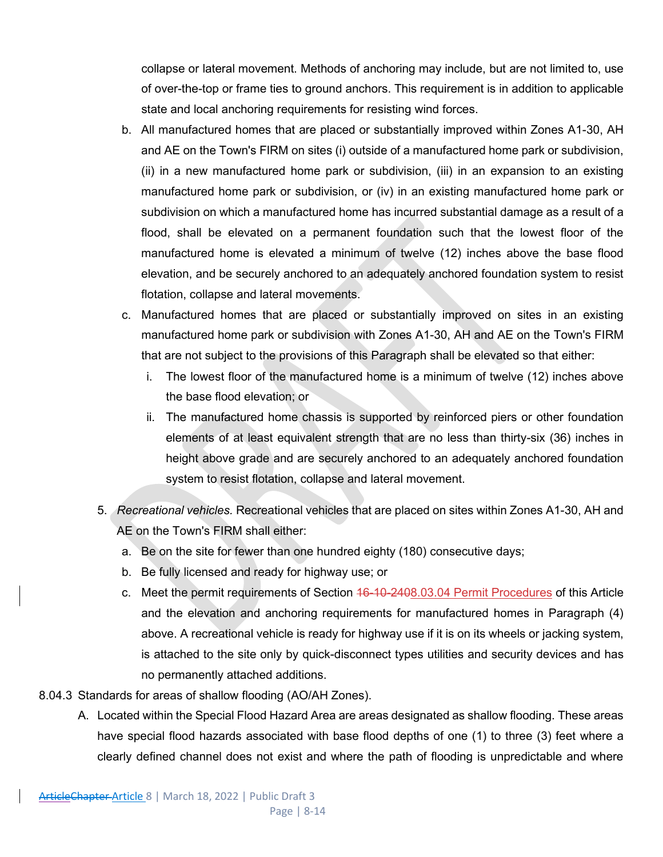collapse or lateral movement. Methods of anchoring may include, but are not limited to, use of over-the-top or frame ties to ground anchors. This requirement is in addition to applicable state and local anchoring requirements for resisting wind forces.

- b. All manufactured homes that are placed or substantially improved within Zones A1-30, AH and AE on the Town's FIRM on sites (i) outside of a manufactured home park or subdivision, (ii) in a new manufactured home park or subdivision, (iii) in an expansion to an existing manufactured home park or subdivision, or (iv) in an existing manufactured home park or subdivision on which a manufactured home has incurred substantial damage as a result of a flood, shall be elevated on a permanent foundation such that the lowest floor of the manufactured home is elevated a minimum of twelve (12) inches above the base flood elevation, and be securely anchored to an adequately anchored foundation system to resist flotation, collapse and lateral movements.
- c. Manufactured homes that are placed or substantially improved on sites in an existing manufactured home park or subdivision with Zones A1-30, AH and AE on the Town's FIRM that are not subject to the provisions of this Paragraph shall be elevated so that either:
	- i. The lowest floor of the manufactured home is a minimum of twelve (12) inches above the base flood elevation; or
	- ii. The manufactured home chassis is supported by reinforced piers or other foundation elements of at least equivalent strength that are no less than thirty-six (36) inches in height above grade and are securely anchored to an adequately anchored foundation system to resist flotation, collapse and lateral movement.
- 5. *Recreational vehicles.* Recreational vehicles that are placed on sites within Zones A1-30, AH and AE on the Town's FIRM shall either:
	- a. Be on the site for fewer than one hundred eighty (180) consecutive days;
	- b. Be fully licensed and ready for highway use; or
	- c. Meet the permit requirements of Section 46-10-2408.03.04 Permit Procedures of this Article and the elevation and anchoring requirements for manufactured homes in Paragraph (4) above. A recreational vehicle is ready for highway use if it is on its wheels or jacking system, is attached to the site only by quick-disconnect types utilities and security devices and has no permanently attached additions.
- 8.04.3 Standards for areas of shallow flooding (AO/AH Zones).
	- A. Located within the Special Flood Hazard Area are areas designated as shallow flooding. These areas have special flood hazards associated with base flood depths of one (1) to three (3) feet where a clearly defined channel does not exist and where the path of flooding is unpredictable and where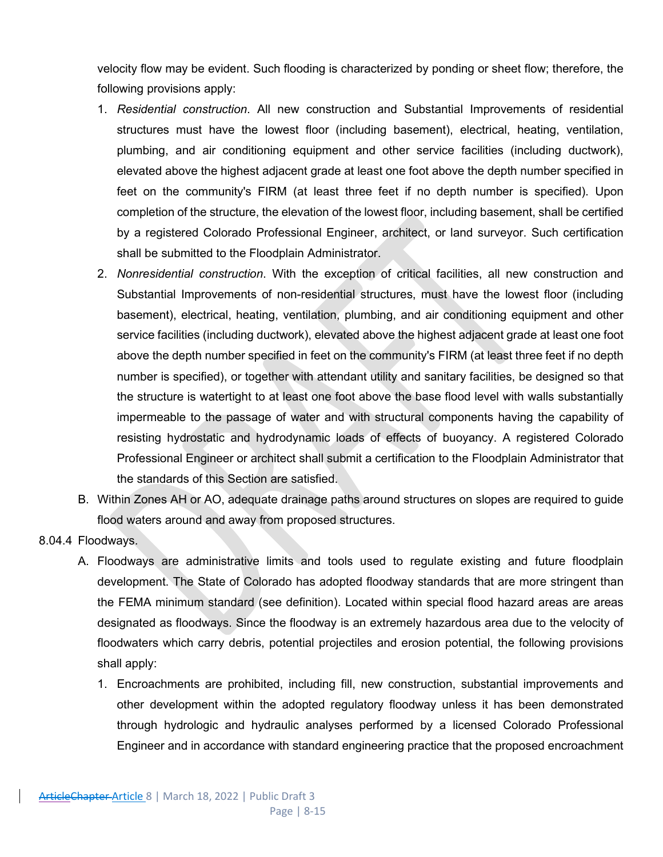velocity flow may be evident. Such flooding is characterized by ponding or sheet flow; therefore, the following provisions apply:

- 1. *Residential construction*. All new construction and Substantial Improvements of residential structures must have the lowest floor (including basement), electrical, heating, ventilation, plumbing, and air conditioning equipment and other service facilities (including ductwork), elevated above the highest adjacent grade at least one foot above the depth number specified in feet on the community's FIRM (at least three feet if no depth number is specified). Upon completion of the structure, the elevation of the lowest floor, including basement, shall be certified by a registered Colorado Professional Engineer, architect, or land surveyor. Such certification shall be submitted to the Floodplain Administrator.
- 2. *Nonresidential construction*. With the exception of critical facilities, all new construction and Substantial Improvements of non-residential structures, must have the lowest floor (including basement), electrical, heating, ventilation, plumbing, and air conditioning equipment and other service facilities (including ductwork), elevated above the highest adjacent grade at least one foot above the depth number specified in feet on the community's FIRM (at least three feet if no depth number is specified), or together with attendant utility and sanitary facilities, be designed so that the structure is watertight to at least one foot above the base flood level with walls substantially impermeable to the passage of water and with structural components having the capability of resisting hydrostatic and hydrodynamic loads of effects of buoyancy. A registered Colorado Professional Engineer or architect shall submit a certification to the Floodplain Administrator that the standards of this Section are satisfied.
- B. Within Zones AH or AO, adequate drainage paths around structures on slopes are required to guide flood waters around and away from proposed structures.
- 8.04.4 Floodways.
	- A. Floodways are administrative limits and tools used to regulate existing and future floodplain development. The State of Colorado has adopted floodway standards that are more stringent than the FEMA minimum standard (see definition). Located within special flood hazard areas are areas designated as floodways. Since the floodway is an extremely hazardous area due to the velocity of floodwaters which carry debris, potential projectiles and erosion potential, the following provisions shall apply:
		- 1. Encroachments are prohibited, including fill, new construction, substantial improvements and other development within the adopted regulatory floodway unless it has been demonstrated through hydrologic and hydraulic analyses performed by a licensed Colorado Professional Engineer and in accordance with standard engineering practice that the proposed encroachment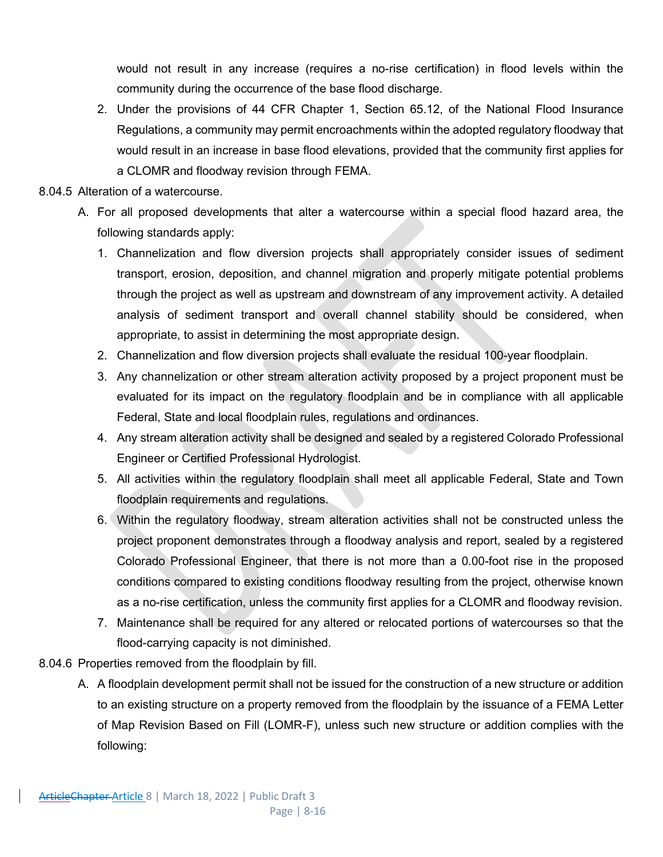would not result in any increase (requires a no-rise certification) in flood levels within the community during the occurrence of the base flood discharge.

- 2. Under the provisions of 44 CFR Chapter 1, Section 65.12, of the National Flood Insurance Regulations, a community may permit encroachments within the adopted regulatory floodway that would result in an increase in base flood elevations, provided that the community first applies for a CLOMR and floodway revision through FEMA.
- 8.04.5 Alteration of a watercourse.
	- A. For all proposed developments that alter a watercourse within a special flood hazard area, the following standards apply:
		- 1. Channelization and flow diversion projects shall appropriately consider issues of sediment transport, erosion, deposition, and channel migration and properly mitigate potential problems through the project as well as upstream and downstream of any improvement activity. A detailed analysis of sediment transport and overall channel stability should be considered, when appropriate, to assist in determining the most appropriate design.
		- 2. Channelization and flow diversion projects shall evaluate the residual 100-year floodplain.
		- 3. Any channelization or other stream alteration activity proposed by a project proponent must be evaluated for its impact on the regulatory floodplain and be in compliance with all applicable Federal, State and local floodplain rules, regulations and ordinances.
		- 4. Any stream alteration activity shall be designed and sealed by a registered Colorado Professional Engineer or Certified Professional Hydrologist.
		- 5. All activities within the regulatory floodplain shall meet all applicable Federal, State and Town floodplain requirements and regulations.
		- 6. Within the regulatory floodway, stream alteration activities shall not be constructed unless the project proponent demonstrates through a floodway analysis and report, sealed by a registered Colorado Professional Engineer, that there is not more than a 0.00-foot rise in the proposed conditions compared to existing conditions floodway resulting from the project, otherwise known as a no-rise certification, unless the community first applies for a CLOMR and floodway revision.
		- 7. Maintenance shall be required for any altered or relocated portions of watercourses so that the flood-carrying capacity is not diminished.
- 8.04.6 Properties removed from the floodplain by fill.
	- A. A floodplain development permit shall not be issued for the construction of a new structure or addition to an existing structure on a property removed from the floodplain by the issuance of a FEMA Letter of Map Revision Based on Fill (LOMR-F), unless such new structure or addition complies with the following: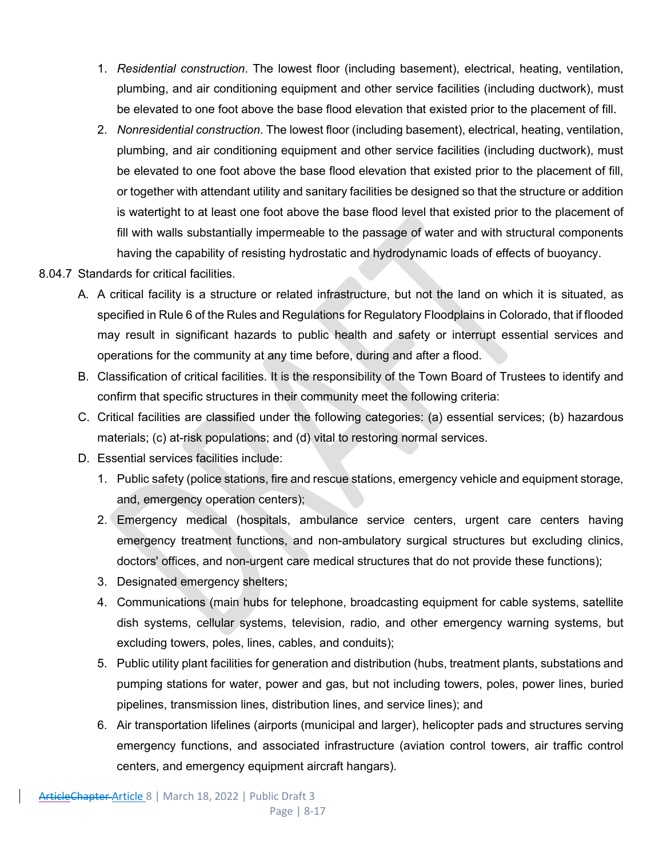- 1. *Residential construction*. The lowest floor (including basement), electrical, heating, ventilation, plumbing, and air conditioning equipment and other service facilities (including ductwork), must be elevated to one foot above the base flood elevation that existed prior to the placement of fill.
- 2. *Nonresidential construction*. The lowest floor (including basement), electrical, heating, ventilation, plumbing, and air conditioning equipment and other service facilities (including ductwork), must be elevated to one foot above the base flood elevation that existed prior to the placement of fill, or together with attendant utility and sanitary facilities be designed so that the structure or addition is watertight to at least one foot above the base flood level that existed prior to the placement of fill with walls substantially impermeable to the passage of water and with structural components having the capability of resisting hydrostatic and hydrodynamic loads of effects of buoyancy.
- 8.04.7 Standards for critical facilities.
	- A. A critical facility is a structure or related infrastructure, but not the land on which it is situated, as specified in Rule 6 of the Rules and Regulations for Regulatory Floodplains in Colorado, that if flooded may result in significant hazards to public health and safety or interrupt essential services and operations for the community at any time before, during and after a flood.
	- B. Classification of critical facilities. It is the responsibility of the Town Board of Trustees to identify and confirm that specific structures in their community meet the following criteria:
	- C. Critical facilities are classified under the following categories: (a) essential services; (b) hazardous materials; (c) at-risk populations; and (d) vital to restoring normal services.
	- D. Essential services facilities include:
		- 1. Public safety (police stations, fire and rescue stations, emergency vehicle and equipment storage, and, emergency operation centers);
		- 2. Emergency medical (hospitals, ambulance service centers, urgent care centers having emergency treatment functions, and non-ambulatory surgical structures but excluding clinics, doctors' offices, and non-urgent care medical structures that do not provide these functions);
		- 3. Designated emergency shelters;
		- 4. Communications (main hubs for telephone, broadcasting equipment for cable systems, satellite dish systems, cellular systems, television, radio, and other emergency warning systems, but excluding towers, poles, lines, cables, and conduits);
		- 5. Public utility plant facilities for generation and distribution (hubs, treatment plants, substations and pumping stations for water, power and gas, but not including towers, poles, power lines, buried pipelines, transmission lines, distribution lines, and service lines); and
		- 6. Air transportation lifelines (airports (municipal and larger), helicopter pads and structures serving emergency functions, and associated infrastructure (aviation control towers, air traffic control centers, and emergency equipment aircraft hangars).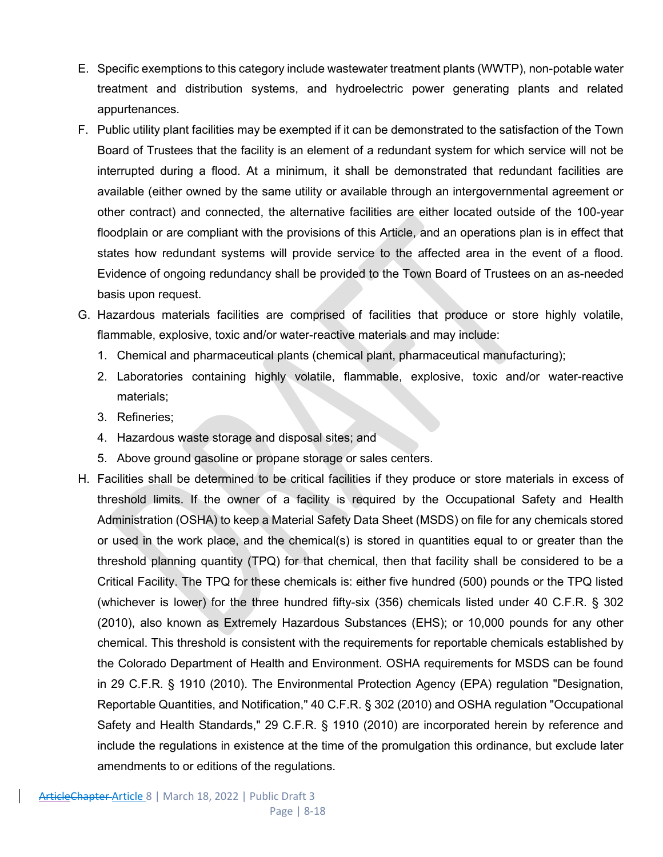- E. Specific exemptions to this category include wastewater treatment plants (WWTP), non-potable water treatment and distribution systems, and hydroelectric power generating plants and related appurtenances.
- F. Public utility plant facilities may be exempted if it can be demonstrated to the satisfaction of the Town Board of Trustees that the facility is an element of a redundant system for which service will not be interrupted during a flood. At a minimum, it shall be demonstrated that redundant facilities are available (either owned by the same utility or available through an intergovernmental agreement or other contract) and connected, the alternative facilities are either located outside of the 100-year floodplain or are compliant with the provisions of this Article, and an operations plan is in effect that states how redundant systems will provide service to the affected area in the event of a flood. Evidence of ongoing redundancy shall be provided to the Town Board of Trustees on an as-needed basis upon request.
- G. Hazardous materials facilities are comprised of facilities that produce or store highly volatile, flammable, explosive, toxic and/or water-reactive materials and may include:
	- 1. Chemical and pharmaceutical plants (chemical plant, pharmaceutical manufacturing);
	- 2. Laboratories containing highly volatile, flammable, explosive, toxic and/or water-reactive materials;
	- 3. Refineries;
	- 4. Hazardous waste storage and disposal sites; and
	- 5. Above ground gasoline or propane storage or sales centers.
- H. Facilities shall be determined to be critical facilities if they produce or store materials in excess of threshold limits. If the owner of a facility is required by the Occupational Safety and Health Administration (OSHA) to keep a Material Safety Data Sheet (MSDS) on file for any chemicals stored or used in the work place, and the chemical(s) is stored in quantities equal to or greater than the threshold planning quantity (TPQ) for that chemical, then that facility shall be considered to be a Critical Facility. The TPQ for these chemicals is: either five hundred (500) pounds or the TPQ listed (whichever is lower) for the three hundred fifty-six (356) chemicals listed under 40 C.F.R. § 302 (2010), also known as Extremely Hazardous Substances (EHS); or 10,000 pounds for any other chemical. This threshold is consistent with the requirements for reportable chemicals established by the Colorado Department of Health and Environment. OSHA requirements for MSDS can be found in 29 C.F.R. § 1910 (2010). The Environmental Protection Agency (EPA) regulation "Designation, Reportable Quantities, and Notification," 40 C.F.R. § 302 (2010) and OSHA regulation "Occupational Safety and Health Standards," 29 C.F.R. § 1910 (2010) are incorporated herein by reference and include the regulations in existence at the time of the promulgation this ordinance, but exclude later amendments to or editions of the regulations.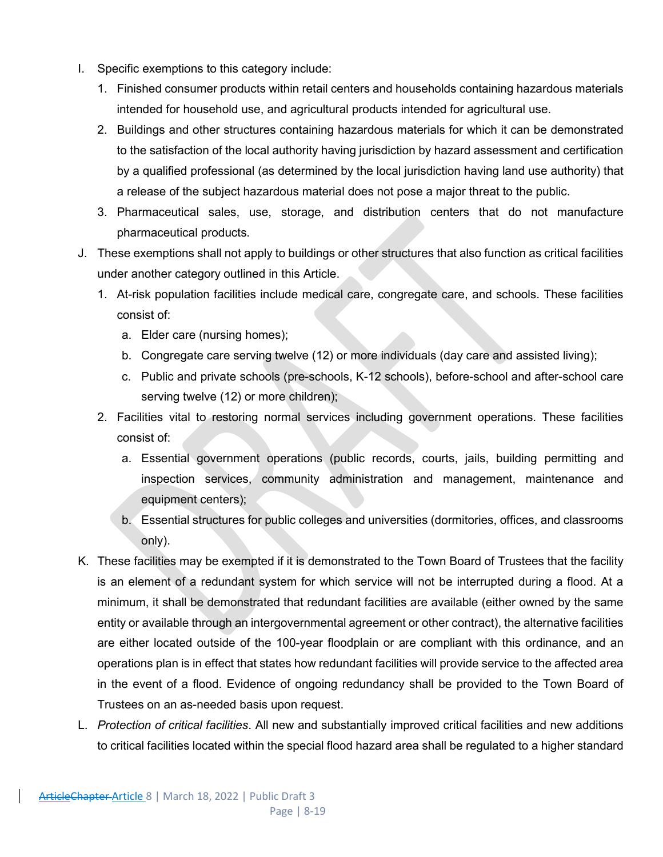- I. Specific exemptions to this category include:
	- 1. Finished consumer products within retail centers and households containing hazardous materials intended for household use, and agricultural products intended for agricultural use.
	- 2. Buildings and other structures containing hazardous materials for which it can be demonstrated to the satisfaction of the local authority having jurisdiction by hazard assessment and certification by a qualified professional (as determined by the local jurisdiction having land use authority) that a release of the subject hazardous material does not pose a major threat to the public.
	- 3. Pharmaceutical sales, use, storage, and distribution centers that do not manufacture pharmaceutical products.
- J. These exemptions shall not apply to buildings or other structures that also function as critical facilities under another category outlined in this Article.
	- 1. At-risk population facilities include medical care, congregate care, and schools. These facilities consist of:
		- a. Elder care (nursing homes);
		- b. Congregate care serving twelve (12) or more individuals (day care and assisted living);
		- c. Public and private schools (pre-schools, K-12 schools), before-school and after-school care serving twelve (12) or more children);
	- 2. Facilities vital to restoring normal services including government operations. These facilities consist of:
		- a. Essential government operations (public records, courts, jails, building permitting and inspection services, community administration and management, maintenance and equipment centers);
		- b. Essential structures for public colleges and universities (dormitories, offices, and classrooms only).
- K. These facilities may be exempted if it is demonstrated to the Town Board of Trustees that the facility is an element of a redundant system for which service will not be interrupted during a flood. At a minimum, it shall be demonstrated that redundant facilities are available (either owned by the same entity or available through an intergovernmental agreement or other contract), the alternative facilities are either located outside of the 100-year floodplain or are compliant with this ordinance, and an operations plan is in effect that states how redundant facilities will provide service to the affected area in the event of a flood. Evidence of ongoing redundancy shall be provided to the Town Board of Trustees on an as-needed basis upon request.
- L. *Protection of critical facilities*. All new and substantially improved critical facilities and new additions to critical facilities located within the special flood hazard area shall be regulated to a higher standard